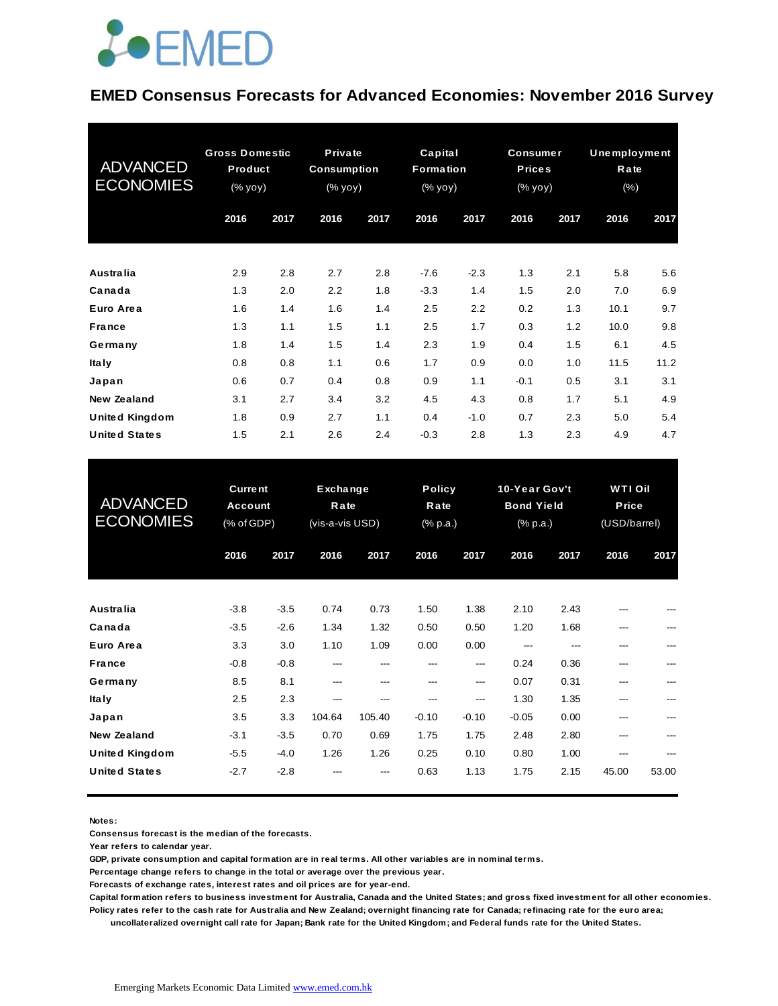#### **EMED Consensus Forecasts for Advanced Economies: November 2016 Survey**

| <b>ADVANCED</b><br><b>ECONOMIES</b> | <b>Gross Domestic</b><br>Product<br>(% yoy) |      | <b>Private</b><br><b>Consumption</b><br>(% yoy) |      | Capital<br>Formation<br>$(% \mathsf{y}\right)$ (% $\overline{\mathsf{y}}$ oy) |        | <b>Consumer</b><br><b>Prices</b><br>(% yoy) |      | Unemployment<br>Rate<br>$(\% )$ |      |
|-------------------------------------|---------------------------------------------|------|-------------------------------------------------|------|-------------------------------------------------------------------------------|--------|---------------------------------------------|------|---------------------------------|------|
|                                     | 2016                                        | 2017 | 2016                                            | 2017 | 2016                                                                          | 2017   | 2016                                        | 2017 | 2016                            | 2017 |
| <b>Australia</b>                    | 2.9                                         | 2.8  | 2.7                                             | 2.8  | $-7.6$                                                                        | $-2.3$ | 1.3                                         | 2.1  | 5.8                             | 5.6  |
| Canada                              | 1.3                                         | 2.0  | 2.2                                             | 1.8  | $-3.3$                                                                        | 1.4    | 1.5                                         | 2.0  | 7.0                             | 6.9  |
| Euro Area                           | 1.6                                         | 1.4  | 1.6                                             | 1.4  | 2.5                                                                           | 2.2    | 0.2                                         | 1.3  | 10.1                            | 9.7  |
| France                              | 1.3                                         | 1.1  | 1.5                                             | 1.1  | 2.5                                                                           | 1.7    | 0.3                                         | 1.2  | 10.0                            | 9.8  |
| Germany                             | 1.8                                         | 1.4  | 1.5                                             | 1.4  | 2.3                                                                           | 1.9    | 0.4                                         | 1.5  | 6.1                             | 4.5  |
| <b>Italy</b>                        | 0.8                                         | 0.8  | 1.1                                             | 0.6  | 1.7                                                                           | 0.9    | 0.0                                         | 1.0  | 11.5                            | 11.2 |
| Japan                               | 0.6                                         | 0.7  | 0.4                                             | 0.8  | 0.9                                                                           | 1.1    | $-0.1$                                      | 0.5  | 3.1                             | 3.1  |
| <b>New Zealand</b>                  | 3.1                                         | 2.7  | 3.4                                             | 3.2  | 4.5                                                                           | 4.3    | 0.8                                         | 1.7  | 5.1                             | 4.9  |
| <b>United Kingdom</b>               | 1.8                                         | 0.9  | 2.7                                             | 1.1  | 0.4                                                                           | $-1.0$ | 0.7                                         | 2.3  | 5.0                             | 5.4  |
| <b>United States</b>                | 1.5                                         | 2.1  | 2.6                                             | 2.4  | $-0.3$                                                                        | 2.8    | 1.3                                         | 2.3  | 4.9                             | 4.7  |

| <b>United States</b>                        | 1.5                                     | 2.1              | 2.6                                        | 2.4           | $-0.3$         | 2.8                               | 1.3             | 2.3                                            | 4.9        | 4.7                                    |  |
|---------------------------------------------|-----------------------------------------|------------------|--------------------------------------------|---------------|----------------|-----------------------------------|-----------------|------------------------------------------------|------------|----------------------------------------|--|
| <b>ADVANCED</b><br><b>ECONOMIES</b>         | <b>Current</b><br>Account<br>(% of GDP) |                  | <b>Exchange</b><br>Rate<br>(vis-a-vis USD) |               |                | <b>Policy</b><br>Rate<br>(% p.a.) |                 | 10-Year Gov't<br><b>Bond Yield</b><br>(% p.a.) |            | <b>WTIOil</b><br>Price<br>(USD/barrel) |  |
|                                             | 2016                                    | 2017             | 2016                                       | 2017          | 2016           | 2017                              | 2016            | 2017                                           | 2016       | 2017                                   |  |
| <b>Australia</b>                            | $-3.8$                                  | $-3.5$           | 0.74                                       | 0.73          | 1.50           | 1.38                              | 2.10            | 2.43                                           |            |                                        |  |
| Canada<br>Euro Area                         | $-3.5$<br>3.3                           | $-2.6$<br>3.0    | 1.34<br>1.10                               | 1.32<br>1.09  | 0.50<br>0.00   | 0.50<br>0.00                      | 1.20<br>---     | 1.68<br>---                                    |            |                                        |  |
| <b>France</b><br>Germany                    | $-0.8$<br>8.5                           | $-0.8$<br>8.1    | ---<br>---                                 | ---<br>---    | ---<br>---     | ---<br>---                        | 0.24<br>0.07    | 0.36<br>0.31                                   | ---<br>--- |                                        |  |
| <b>Italy</b><br>Japan                       | 2.5<br>3.5                              | 2.3<br>3.3       | ---<br>104.64                              | ---<br>105.40 | ---<br>$-0.10$ | ---<br>$-0.10$                    | 1.30<br>$-0.05$ | 1.35<br>0.00                                   | ---<br>--- |                                        |  |
| <b>New Zealand</b><br><b>United Kingdom</b> | $-3.1$<br>$-5.5$                        | $-3.5$<br>$-4.0$ | 0.70<br>1.26                               | 0.69<br>1.26  | 1.75<br>0.25   | 1.75<br>0.10                      | 2.48<br>0.80    | 2.80<br>1.00                                   | ---<br>--- |                                        |  |
| <b>United States</b>                        | $-2.7$                                  | $-2.8$           |                                            |               | 0.63           | 1.13                              | 1.75            | 2.15                                           | 45.00      | 53.00                                  |  |

**Notes:** 

**Consensus forecast is the median of the forecasts.**

**Year refers to calendar year.**

**GDP, private consumption and capital formation are in real terms. All other variables are in nominal terms.**

**Percentage change refers to change in the total or average over the previous year.**

**Forecasts of exchange rates, interest rates and oil prices are for year-end.**

**Capital formation refers to business investment for Australia, Canada and the United States; and gross fixed investment for all other economies. Policy rates refer to the cash rate for Australia and New Zealand; overnight financing rate for Canada; refinacing rate for the euro area;** 

 **uncollateralized overnight call rate for Japan; Bank rate for the United Kingdom; and Federal funds rate for the United States.**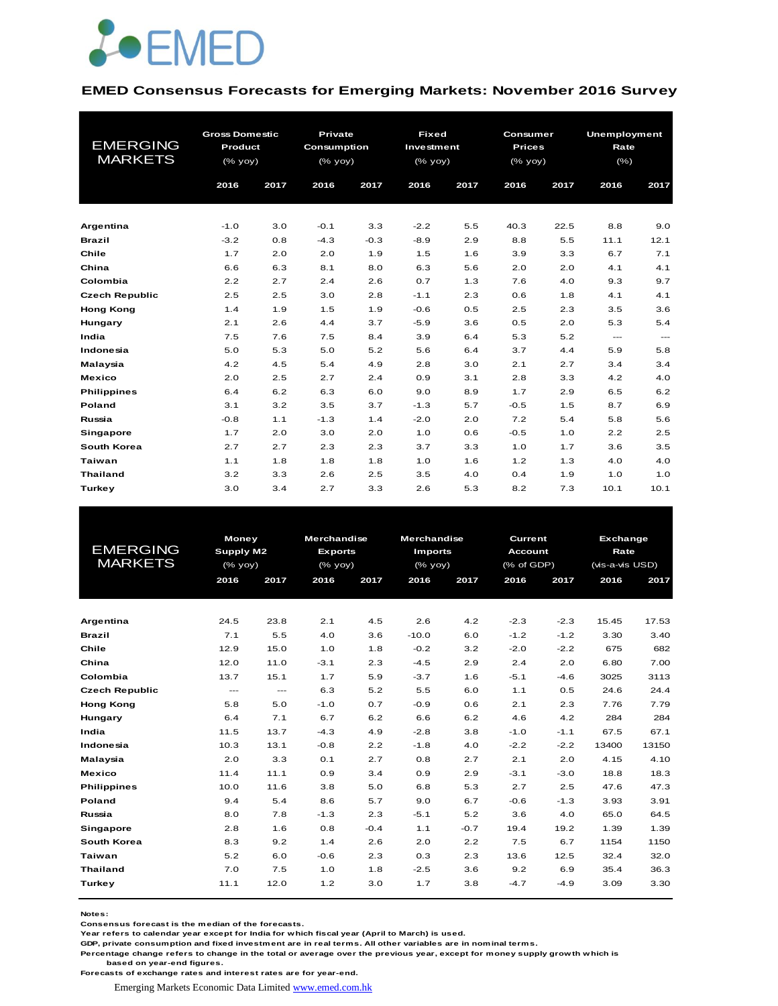

#### **EMED Consensus Forecasts for Emerging Markets: November 2016 Survey**

|                       |                | <b>Gross Domestic</b> |             | <b>Private</b> | <b>Fixed</b>                                                       |      | Consumer      |      | <b>Unemployment</b>    |                        |
|-----------------------|----------------|-----------------------|-------------|----------------|--------------------------------------------------------------------|------|---------------|------|------------------------|------------------------|
| <b>EMERGING</b>       | <b>Product</b> |                       | Consumption |                | Investment                                                         |      | <b>Prices</b> |      | Rate                   |                        |
| <b>MARKETS</b>        | (% yoy)        |                       | (% yoy)     |                | $(% \mathsf{Y}^{\prime }\mathsf{Y}^{\prime }\mathsf{Y}^{\prime })$ |      | (% yoy)       |      | $(\% )$                |                        |
|                       | 2016           | 2017                  | 2016        | 2017           | 2016                                                               | 2017 | 2016          | 2017 | 2016                   | 2017                   |
|                       |                |                       |             |                |                                                                    |      |               |      |                        |                        |
|                       |                |                       |             |                |                                                                    |      |               |      |                        |                        |
| Argentina             | $-1.0$         | 3.0                   | $-0.1$      | 3.3            | $-2.2$                                                             | 5.5  | 40.3          | 22.5 | 8.8                    | 9.0                    |
| <b>Brazil</b>         | $-3.2$         | 0.8                   | $-4.3$      | $-0.3$         | $-8.9$                                                             | 2.9  | 8.8           | 5.5  | 11.1                   | 12.1                   |
| Chile                 | 1.7            | 2.0                   | 2.0         | 1.9            | 1.5                                                                | 1.6  | 3.9           | 3.3  | 6.7                    | 7.1                    |
| China                 | 6.6            | 6.3                   | 8.1         | 8.0            | 6.3                                                                | 5.6  | 2.0           | 2.0  | 4.1                    | 4.1                    |
| Colombia              | 2.2            | 2.7                   | 2.4         | 2.6            | 0.7                                                                | 1.3  | 7.6           | 4.0  | 9.3                    | 9.7                    |
| <b>Czech Republic</b> | 2.5            | 2.5                   | 3.0         | 2.8            | $-1.1$                                                             | 2.3  | 0.6           | 1.8  | 4.1                    | 4.1                    |
| <b>Hong Kong</b>      | 1.4            | 1.9                   | 1.5         | 1.9            | $-0.6$                                                             | 0.5  | 2.5           | 2.3  | 3.5                    | 3.6                    |
| Hungary               | 2.1            | 2.6                   | 4.4         | 3.7            | $-5.9$                                                             | 3.6  | 0.5           | 2.0  | 5.3                    | 5.4                    |
| India                 | 7.5            | 7.6                   | 7.5         | 8.4            | 3.9                                                                | 6.4  | 5.3           | 5.2  | $\qquad \qquad \cdots$ | $\qquad \qquad \cdots$ |
| Indonesia             | 5.0            | 5.3                   | 5.0         | 5.2            | 5.6                                                                | 6.4  | 3.7           | 4.4  | 5.9                    | 5.8                    |
| Malaysia              | 4.2            | 4.5                   | 5.4         | 4.9            | 2.8                                                                | 3.0  | 2.1           | 2.7  | 3.4                    | 3.4                    |
| <b>Mexico</b>         | 2.0            | 2.5                   | 2.7         | 2.4            | 0.9                                                                | 3.1  | 2.8           | 3.3  | 4.2                    | 4.0                    |
| <b>Philippines</b>    | 6.4            | 6.2                   | 6.3         | 6.0            | 9.0                                                                | 8.9  | 1.7           | 2.9  | 6.5                    | 6.2                    |
| Poland                | 3.1            | 3.2                   | 3.5         | 3.7            | $-1.3$                                                             | 5.7  | $-0.5$        | 1.5  | 8.7                    | 6.9                    |
| Russia                | $-0.8$         | 1.1                   | $-1.3$      | 1.4            | $-2.0$                                                             | 2.0  | 7.2           | 5.4  | 5.8                    | 5.6                    |
| <b>Singapore</b>      | 1.7            | 2.0                   | 3.0         | 2.0            | 1.0                                                                | 0.6  | $-0.5$        | 1.0  | 2.2                    | 2.5                    |
| South Korea           | 2.7            | 2.7                   | 2.3         | 2.3            | 3.7                                                                | 3.3  | 1.0           | 1.7  | 3.6                    | 3.5                    |
| <b>Taiwan</b>         | 1.1            | 1.8                   | 1.8         | 1.8            | 1.0                                                                | 1.6  | 1.2           | 1.3  | 4.0                    | 4.0                    |
| <b>Thailand</b>       | 3.2            | 3.3                   | 2.6         | 2.5            | 3.5                                                                | 4.0  | 0.4           | 1.9  | 1.0                    | 1.0                    |
| Turkey                | 3.0            | 3.4                   | 2.7         | 3.3            | 2.6                                                                | 5.3  | 8.2           | 7.3  | 10.1                   | 10.1                   |

| <b>EMERGING</b><br><b>MARKETS</b> | <b>Money</b><br>Supply M2<br>(% yoy)<br>2016<br>2017 |                         | <b>Merchandise</b><br><b>Exports</b><br>$(%$ $\mathsf{yoy})$<br>2016<br>2017 |        | <b>Merchandise</b><br><b>Imports</b><br>$(%$ (% yoy)<br>2016<br>2017 |        | 2016   | <b>Current</b><br><b>Account</b><br>(% of GDP)<br>2017 |       | Exchange<br><b>Rate</b><br>(vis-a-vis USD)<br>2016<br>2017 |  |
|-----------------------------------|------------------------------------------------------|-------------------------|------------------------------------------------------------------------------|--------|----------------------------------------------------------------------|--------|--------|--------------------------------------------------------|-------|------------------------------------------------------------|--|
| Argentina                         | 24.5                                                 | 23.8                    | 2.1                                                                          | 4.5    | 2.6                                                                  | 4.2    | $-2.3$ | $-2.3$                                                 | 15.45 | 17.53                                                      |  |
| <b>Brazil</b>                     | 7.1                                                  | 5.5                     | 4.0                                                                          | 3.6    | $-10.0$                                                              | 6.0    | $-1.2$ | $-1.2$                                                 | 3.30  | 3.40                                                       |  |
| Chile                             | 12.9                                                 | 15.0                    | 1.0                                                                          | 1.8    | $-0.2$                                                               | 3.2    | $-2.0$ | $-2.2$                                                 | 675   | 682                                                        |  |
| China                             | 12.0                                                 | 11.0                    | $-3.1$                                                                       | 2.3    | $-4.5$                                                               | 2.9    | 2.4    | 2.0                                                    | 6.80  | 7.00                                                       |  |
| Colombia                          | 13.7                                                 | 15.1                    | 1.7                                                                          | 5.9    | $-3.7$                                                               | 1.6    | $-5.1$ | $-4.6$                                                 | 3025  | 3113                                                       |  |
| <b>Czech Republic</b>             | $\qquad \qquad -\qquad -$                            | $\qquad \qquad -\qquad$ | 6.3                                                                          | 5.2    | 5.5                                                                  | 6.0    | 1.1    | 0.5                                                    | 24.6  | 24.4                                                       |  |
| <b>Hong Kong</b>                  | 5.8                                                  | 5.0                     | $-1.0$                                                                       | 0.7    | $-0.9$                                                               | 0.6    | 2.1    | 2.3                                                    | 7.76  | 7.79                                                       |  |
| Hungary                           | 6.4                                                  | 7.1                     | 6.7                                                                          | 6.2    | 6.6                                                                  | 6.2    | 4.6    | 4.2                                                    | 284   | 284                                                        |  |
| India                             | 11.5                                                 | 13.7                    | $-4.3$                                                                       | 4.9    | $-2.8$                                                               | 3.8    | $-1.0$ | $-1.1$                                                 | 67.5  | 67.1                                                       |  |
| Indonesia                         | 10.3                                                 | 13.1                    | $-0.8$                                                                       | 2.2    | $-1.8$                                                               | 4.0    | $-2.2$ | $-2.2$                                                 | 13400 | 13150                                                      |  |
| Malaysia                          | 2.0                                                  | 3.3                     | 0.1                                                                          | 2.7    | 0.8                                                                  | 2.7    | 2.1    | 2.0                                                    | 4.15  | 4.10                                                       |  |
| <b>Mexico</b>                     | 11.4                                                 | 11.1                    | 0.9                                                                          | 3.4    | 0.9                                                                  | 2.9    | $-3.1$ | $-3.0$                                                 | 18.8  | 18.3                                                       |  |
| <b>Philippines</b>                | 10.0                                                 | 11.6                    | 3.8                                                                          | 5.0    | 6.8                                                                  | 5.3    | 2.7    | 2.5                                                    | 47.6  | 47.3                                                       |  |
| Poland                            | 9.4                                                  | 5.4                     | 8.6                                                                          | 5.7    | 9.0                                                                  | 6.7    | $-0.6$ | $-1.3$                                                 | 3.93  | 3.91                                                       |  |
| Russia                            | 8.0                                                  | 7.8                     | $-1.3$                                                                       | 2.3    | $-5.1$                                                               | 5.2    | 3.6    | 4.0                                                    | 65.0  | 64.5                                                       |  |
| Singapore                         | 2.8                                                  | 1.6                     | 0.8                                                                          | $-0.4$ | 1.1                                                                  | $-0.7$ | 19.4   | 19.2                                                   | 1.39  | 1.39                                                       |  |
| South Korea                       | 8.3                                                  | 9.2                     | 1.4                                                                          | 2.6    | 2.0                                                                  | 2.2    | 7.5    | 6.7                                                    | 1154  | 1150                                                       |  |
| Taiwan                            | 5.2                                                  | 6.0                     | $-0.6$                                                                       | 2.3    | 0.3                                                                  | 2.3    | 13.6   | 12.5                                                   | 32.4  | 32.0                                                       |  |
| <b>Thailand</b>                   | 7.0                                                  | 7.5                     | 1.0                                                                          | 1.8    | $-2.5$                                                               | 3.6    | 9.2    | 6.9                                                    | 35.4  | 36.3                                                       |  |
| Turkey                            | 11.1                                                 | 12.0                    | 1.2                                                                          | 3.0    | 1.7                                                                  | 3.8    | $-4.7$ | $-4.9$                                                 | 3.09  | 3.30                                                       |  |

**Notes:** 

**Consensus forecast is the median of the forecasts.**

**Year refers to calendar year except for India for which fiscal year (April to March) is used. GDP, private consumption and fixed investment are in real terms. All other variables are in nominal terms.**

**Percentage change refers to change in the total or average over the previous year, except for money supply growth which is based on year-end figures.**

**Forecasts of exchange rates and interest rates are for year-end.**

Emerging Markets Economic Data Limited www.emed.com.hk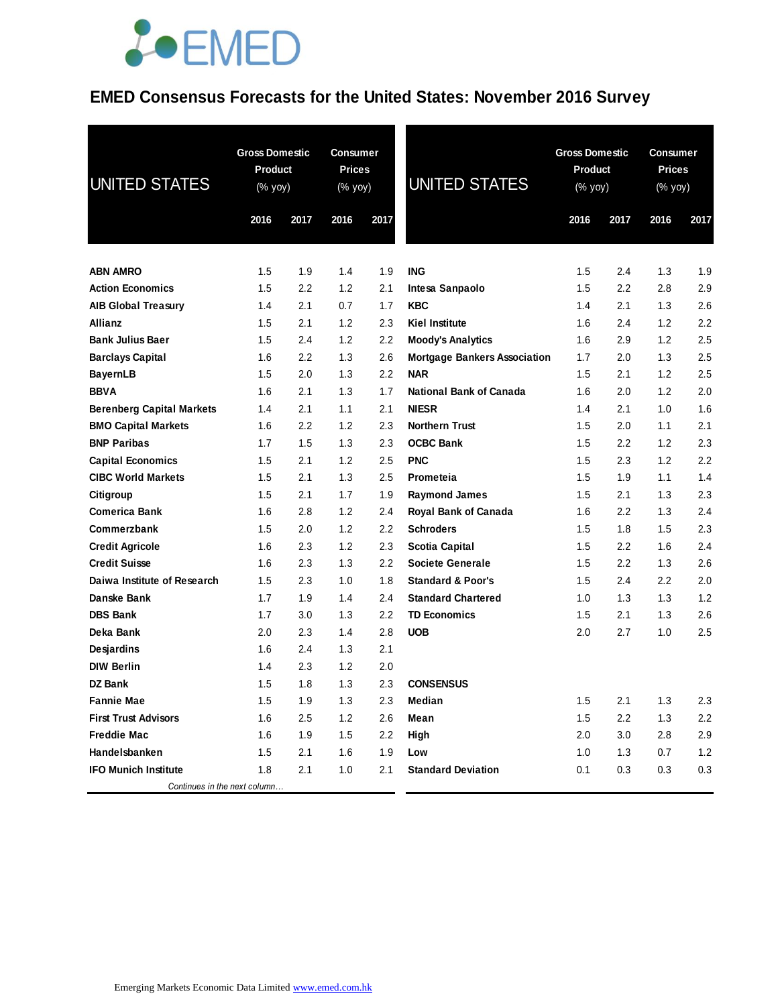### **EMED Consensus Forecasts for the United States: November 2016 Survey**

| <b>UNITED STATES</b>             | <b>Gross Domestic</b><br>Product<br>(% yoy) |      | <b>Consumer</b><br><b>Prices</b><br>(% yoy) |      | <b>UNITED STATES</b>                | <b>Gross Domestic</b><br><b>Product</b><br>$(% \mathsf{Y}^{\prime }\mathsf{Y}^{\prime }\mathsf{Y}^{\prime })$ |         | <b>Consumer</b><br><b>Prices</b><br>(% yoy) |      |
|----------------------------------|---------------------------------------------|------|---------------------------------------------|------|-------------------------------------|---------------------------------------------------------------------------------------------------------------|---------|---------------------------------------------|------|
|                                  | 2016                                        | 2017 | 2016                                        | 2017 |                                     | 2016                                                                                                          | 2017    | 2016                                        | 2017 |
|                                  |                                             |      |                                             |      |                                     |                                                                                                               |         |                                             |      |
| <b>ABN AMRO</b>                  | 1.5                                         | 1.9  | 1.4                                         | 1.9  | <b>ING</b>                          | 1.5                                                                                                           | 2.4     | 1.3                                         | 1.9  |
| <b>Action Economics</b>          | 1.5                                         | 2.2  | 1.2                                         | 2.1  | Intesa Sanpaolo                     | 1.5                                                                                                           | 2.2     | 2.8                                         | 2.9  |
| <b>AIB Global Treasury</b>       | 1.4                                         | 2.1  | 0.7                                         | 1.7  | <b>KBC</b>                          | 1.4                                                                                                           | 2.1     | 1.3                                         | 2.6  |
| Allianz                          | 1.5                                         | 2.1  | 1.2                                         | 2.3  | <b>Kiel Institute</b>               | 1.6                                                                                                           | 2.4     | 1.2                                         | 2.2  |
| <b>Bank Julius Baer</b>          | 1.5                                         | 2.4  | 1.2                                         | 2.2  | <b>Moody's Analytics</b>            | 1.6                                                                                                           | 2.9     | 1.2                                         | 2.5  |
| <b>Barclays Capital</b>          | 1.6                                         | 2.2  | 1.3                                         | 2.6  | <b>Mortgage Bankers Association</b> | 1.7                                                                                                           | 2.0     | 1.3                                         | 2.5  |
| <b>BayernLB</b>                  | 1.5                                         | 2.0  | 1.3                                         | 2.2  | <b>NAR</b>                          | 1.5                                                                                                           | 2.1     | 1.2                                         | 2.5  |
| <b>BBVA</b>                      | 1.6                                         | 2.1  | 1.3                                         | 1.7  | <b>National Bank of Canada</b>      | 1.6                                                                                                           | 2.0     | 1.2                                         | 2.0  |
| <b>Berenberg Capital Markets</b> | 1.4                                         | 2.1  | 1.1                                         | 2.1  | <b>NIESR</b>                        | 1.4                                                                                                           | 2.1     | 1.0                                         | 1.6  |
| <b>BMO Capital Markets</b>       | 1.6                                         | 2.2  | 1.2                                         | 2.3  | <b>Northern Trust</b>               | 1.5                                                                                                           | 2.0     | 1.1                                         | 2.1  |
| <b>BNP Paribas</b>               | 1.7                                         | 1.5  | 1.3                                         | 2.3  | <b>OCBC Bank</b>                    | 1.5                                                                                                           | $2.2\,$ | 1.2                                         | 2.3  |
| <b>Capital Economics</b>         | 1.5                                         | 2.1  | 1.2                                         | 2.5  | <b>PNC</b>                          | 1.5                                                                                                           | 2.3     | 1.2                                         | 2.2  |
| <b>CIBC World Markets</b>        | 1.5                                         | 2.1  | 1.3                                         | 2.5  | Prometeia                           | 1.5                                                                                                           | 1.9     | 1.1                                         | 1.4  |
| Citigroup                        | 1.5                                         | 2.1  | 1.7                                         | 1.9  | <b>Raymond James</b>                | 1.5                                                                                                           | 2.1     | 1.3                                         | 2.3  |
| <b>Comerica Bank</b>             | 1.6                                         | 2.8  | 1.2                                         | 2.4  | Royal Bank of Canada                | 1.6                                                                                                           | 2.2     | 1.3                                         | 2.4  |
| Commerzbank                      | 1.5                                         | 2.0  | 1.2                                         | 2.2  | <b>Schroders</b>                    | 1.5                                                                                                           | 1.8     | 1.5                                         | 2.3  |
| <b>Credit Agricole</b>           | 1.6                                         | 2.3  | 1.2                                         | 2.3  | Scotia Capital                      | 1.5                                                                                                           | 2.2     | 1.6                                         | 2.4  |
| <b>Credit Suisse</b>             | 1.6                                         | 2.3  | 1.3                                         | 2.2  | <b>Societe Generale</b>             | 1.5                                                                                                           | 2.2     | 1.3                                         | 2.6  |
| Daiwa Institute of Research      | 1.5                                         | 2.3  | 1.0                                         | 1.8  | <b>Standard &amp; Poor's</b>        | 1.5                                                                                                           | 2.4     | $2.2\,$                                     | 2.0  |
| Danske Bank                      | 1.7                                         | 1.9  | 1.4                                         | 2.4  | <b>Standard Chartered</b>           | 1.0                                                                                                           | 1.3     | 1.3                                         | 1.2  |
| <b>DBS Bank</b>                  | 1.7                                         | 3.0  | 1.3                                         | 2.2  | <b>TD Economics</b>                 | 1.5                                                                                                           | 2.1     | 1.3                                         | 2.6  |
| Deka Bank                        | 2.0                                         | 2.3  | 1.4                                         | 2.8  | <b>UOB</b>                          | 2.0                                                                                                           | 2.7     | 1.0                                         | 2.5  |
| Desjardins                       | 1.6                                         | 2.4  | 1.3                                         | 2.1  |                                     |                                                                                                               |         |                                             |      |
| <b>DIW Berlin</b>                | 1.4                                         | 2.3  | 1.2                                         | 2.0  |                                     |                                                                                                               |         |                                             |      |
| DZ Bank                          | 1.5                                         | 1.8  | 1.3                                         | 2.3  | <b>CONSENSUS</b>                    |                                                                                                               |         |                                             |      |
| <b>Fannie Mae</b>                | 1.5                                         | 1.9  | 1.3                                         | 2.3  | Median                              | 1.5                                                                                                           | 2.1     | 1.3                                         | 2.3  |
| <b>First Trust Advisors</b>      | 1.6                                         | 2.5  | 1.2                                         | 2.6  | Mean                                | 1.5                                                                                                           | 2.2     | 1.3                                         | 2.2  |
| <b>Freddie Mac</b>               | 1.6                                         | 1.9  | 1.5                                         | 2.2  | High                                | 2.0                                                                                                           | 3.0     | 2.8                                         | 2.9  |
| Handelsbanken                    | 1.5                                         | 2.1  | 1.6                                         | 1.9  | Low                                 | 1.0                                                                                                           | 1.3     | 0.7                                         | 1.2  |
| <b>IFO Munich Institute</b>      | 1.8                                         | 2.1  | 1.0                                         | 2.1  | <b>Standard Deviation</b>           | 0.1                                                                                                           | 0.3     | 0.3                                         | 0.3  |
| Continues in the next column     |                                             |      |                                             |      |                                     |                                                                                                               |         |                                             |      |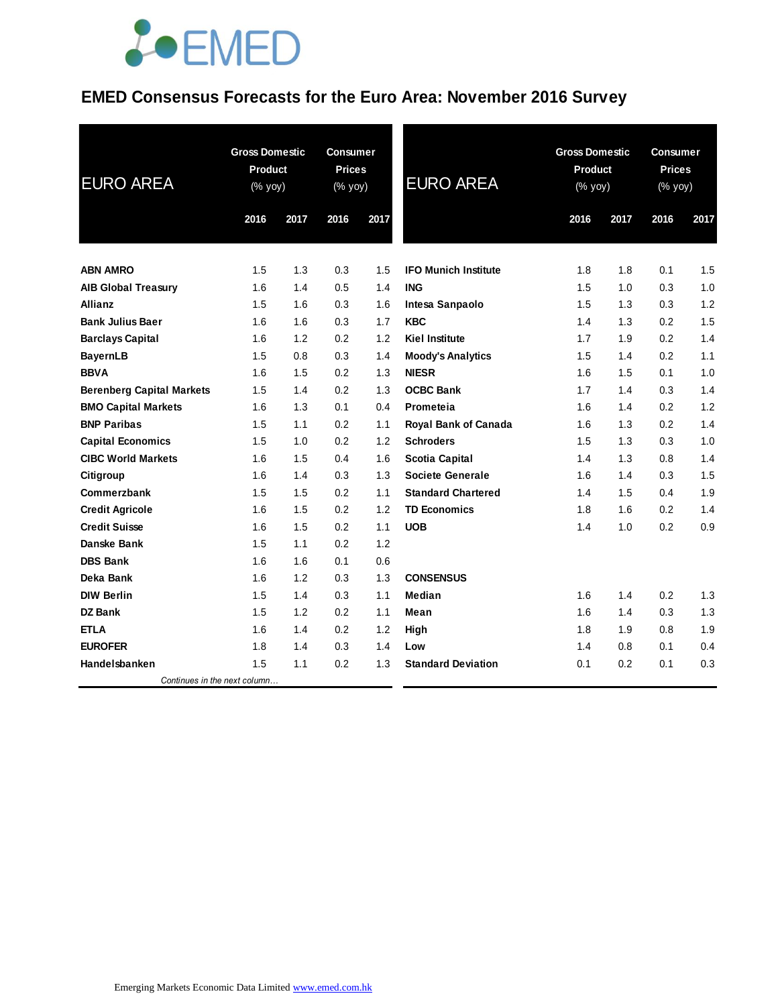### **EMED Consensus Forecasts for the Euro Area: November 2016 Survey**

| <b>EURO AREA</b>                 | <b>Gross Domestic</b><br><b>Product</b><br>(% yoy) |      | <b>Consumer</b><br><b>Prices</b><br>(% yoy) |      | <b>EURO AREA</b>            | <b>Gross Domestic</b><br>Product<br>(% yoy) |      | <b>Consumer</b><br><b>Prices</b><br>(% yoy) |      |
|----------------------------------|----------------------------------------------------|------|---------------------------------------------|------|-----------------------------|---------------------------------------------|------|---------------------------------------------|------|
|                                  | 2016                                               | 2017 | 2016                                        | 2017 |                             | 2016                                        | 2017 | 2016                                        | 2017 |
|                                  |                                                    |      |                                             |      |                             |                                             |      |                                             |      |
| <b>ABN AMRO</b>                  | 1.5                                                | 1.3  | 0.3                                         | 1.5  | <b>IFO Munich Institute</b> | 1.8                                         | 1.8  | 0.1                                         | 1.5  |
| <b>AIB Global Treasury</b>       | 1.6                                                | 1.4  | 0.5                                         | 1.4  | <b>ING</b>                  | 1.5                                         | 1.0  | 0.3                                         | 1.0  |
| <b>Allianz</b>                   | 1.5                                                | 1.6  | 0.3                                         | 1.6  | Intesa Sanpaolo             | 1.5                                         | 1.3  | 0.3                                         | 1.2  |
| <b>Bank Julius Baer</b>          | 1.6                                                | 1.6  | 0.3                                         | 1.7  | <b>KBC</b>                  | 1.4                                         | 1.3  | 0.2                                         | 1.5  |
| <b>Barclays Capital</b>          | 1.6                                                | 1.2  | 0.2                                         | 1.2  | <b>Kiel Institute</b>       | 1.7                                         | 1.9  | 0.2                                         | 1.4  |
| <b>BayernLB</b>                  | 1.5                                                | 0.8  | 0.3                                         | 1.4  | <b>Moody's Analytics</b>    | 1.5                                         | 1.4  | 0.2                                         | 1.1  |
| <b>BBVA</b>                      | 1.6                                                | 1.5  | 0.2                                         | 1.3  | <b>NIESR</b>                | 1.6                                         | 1.5  | 0.1                                         | 1.0  |
| <b>Berenberg Capital Markets</b> | 1.5                                                | 1.4  | 0.2                                         | 1.3  | <b>OCBC Bank</b>            | 1.7                                         | 1.4  | 0.3                                         | 1.4  |
| <b>BMO Capital Markets</b>       | 1.6                                                | 1.3  | 0.1                                         | 0.4  | Prometeia                   | 1.6                                         | 1.4  | 0.2                                         | 1.2  |
| <b>BNP Paribas</b>               | 1.5                                                | 1.1  | 0.2                                         | 1.1  | Royal Bank of Canada        | 1.6                                         | 1.3  | 0.2                                         | 1.4  |
| <b>Capital Economics</b>         | 1.5                                                | 1.0  | 0.2                                         | 1.2  | <b>Schroders</b>            | 1.5                                         | 1.3  | 0.3                                         | 1.0  |
| <b>CIBC World Markets</b>        | 1.6                                                | 1.5  | 0.4                                         | 1.6  | Scotia Capital              | 1.4                                         | 1.3  | 0.8                                         | 1.4  |
| Citigroup                        | 1.6                                                | 1.4  | 0.3                                         | 1.3  | <b>Societe Generale</b>     | 1.6                                         | 1.4  | 0.3                                         | 1.5  |
| Commerzbank                      | 1.5                                                | 1.5  | 0.2                                         | 1.1  | <b>Standard Chartered</b>   | 1.4                                         | 1.5  | 0.4                                         | 1.9  |
| <b>Credit Agricole</b>           | 1.6                                                | 1.5  | 0.2                                         | 1.2  | <b>TD Economics</b>         | 1.8                                         | 1.6  | 0.2                                         | 1.4  |
| <b>Credit Suisse</b>             | 1.6                                                | 1.5  | 0.2                                         | 1.1  | <b>UOB</b>                  | 1.4                                         | 1.0  | 0.2                                         | 0.9  |
| Danske Bank                      | 1.5                                                | 1.1  | 0.2                                         | 1.2  |                             |                                             |      |                                             |      |
| <b>DBS Bank</b>                  | 1.6                                                | 1.6  | 0.1                                         | 0.6  |                             |                                             |      |                                             |      |
| Deka Bank                        | 1.6                                                | 1.2  | 0.3                                         | 1.3  | <b>CONSENSUS</b>            |                                             |      |                                             |      |
| <b>DIW Berlin</b>                | 1.5                                                | 1.4  | 0.3                                         | 1.1  | Median                      | 1.6                                         | 1.4  | 0.2                                         | 1.3  |
| DZ Bank                          | 1.5                                                | 1.2  | 0.2                                         | 1.1  | Mean                        | 1.6                                         | 1.4  | 0.3                                         | 1.3  |
| <b>ETLA</b>                      | 1.6                                                | 1.4  | 0.2                                         | 1.2  | High                        | 1.8                                         | 1.9  | 0.8                                         | 1.9  |
| <b>EUROFER</b>                   | 1.8                                                | 1.4  | 0.3                                         | 1.4  | Low                         | 1.4                                         | 0.8  | 0.1                                         | 0.4  |
| Handelsbanken                    | 1.5                                                | 1.1  | 0.2                                         | 1.3  | <b>Standard Deviation</b>   | 0.1                                         | 0.2  | 0.1                                         | 0.3  |
| Continues in the next column     |                                                    |      |                                             |      |                             |                                             |      |                                             |      |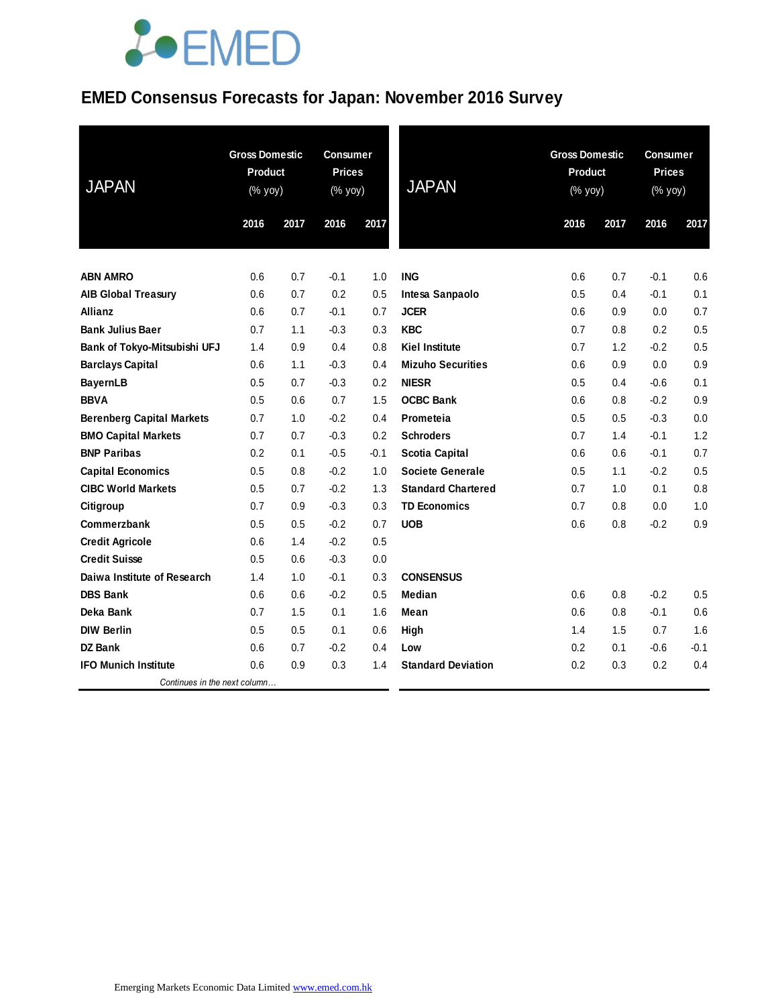### **EMED Consensus Forecasts for Japan: November 2016 Survey**

| <b>JAPAN</b>                     | <b>Gross Domestic</b><br>Product<br>(% yoy) |      | <b>Consumer</b><br><b>Prices</b><br>(% yoy) |        | <b>JAPAN</b>              |      | <b>Gross Domestic</b><br>Product<br>(% yoy) |        | <b>Consumer</b><br><b>Prices</b><br>(% yoy) |  |
|----------------------------------|---------------------------------------------|------|---------------------------------------------|--------|---------------------------|------|---------------------------------------------|--------|---------------------------------------------|--|
|                                  | 2016                                        | 2017 | 2016                                        | 2017   |                           | 2016 | 2017                                        | 2016   | 2017                                        |  |
| <b>ABN AMRO</b>                  | 0.6                                         | 0.7  | $-0.1$                                      | 1.0    | <b>ING</b>                | 0.6  | 0.7                                         | $-0.1$ | 0.6                                         |  |
| <b>AIB Global Treasury</b>       | 0.6                                         | 0.7  | 0.2                                         | 0.5    | Intesa Sanpaolo           | 0.5  | 0.4                                         | $-0.1$ | 0.1                                         |  |
| <b>Allianz</b>                   | 0.6                                         | 0.7  | $-0.1$                                      | 0.7    | <b>JCER</b>               | 0.6  | 0.9                                         | 0.0    | 0.7                                         |  |
| <b>Bank Julius Baer</b>          | 0.7                                         | 1.1  | $-0.3$                                      | 0.3    | <b>KBC</b>                | 0.7  | 0.8                                         | 0.2    | 0.5                                         |  |
| Bank of Tokyo-Mitsubishi UFJ     | 1.4                                         | 0.9  | 0.4                                         | 0.8    | <b>Kiel Institute</b>     | 0.7  | 1.2                                         | $-0.2$ | 0.5                                         |  |
| <b>Barclays Capital</b>          | 0.6                                         | 1.1  | $-0.3$                                      | 0.4    | <b>Mizuho Securities</b>  | 0.6  | 0.9                                         | 0.0    | 0.9                                         |  |
| <b>BayernLB</b>                  | 0.5                                         | 0.7  | $-0.3$                                      | 0.2    | <b>NIESR</b>              | 0.5  | 0.4                                         | $-0.6$ | 0.1                                         |  |
| <b>BBVA</b>                      | 0.5                                         | 0.6  | 0.7                                         | 1.5    | <b>OCBC Bank</b>          | 0.6  | 0.8                                         | $-0.2$ | 0.9                                         |  |
| <b>Berenberg Capital Markets</b> | 0.7                                         | 1.0  | $-0.2$                                      | 0.4    | Prometeia                 | 0.5  | 0.5                                         | $-0.3$ | 0.0                                         |  |
| <b>BMO Capital Markets</b>       | 0.7                                         | 0.7  | $-0.3$                                      | 0.2    | <b>Schroders</b>          | 0.7  | 1.4                                         | $-0.1$ | 1.2                                         |  |
| <b>BNP Paribas</b>               | 0.2                                         | 0.1  | $-0.5$                                      | $-0.1$ | <b>Scotia Capital</b>     | 0.6  | 0.6                                         | $-0.1$ | 0.7                                         |  |
| <b>Capital Economics</b>         | 0.5                                         | 0.8  | $-0.2$                                      | 1.0    | Societe Generale          | 0.5  | 1.1                                         | $-0.2$ | 0.5                                         |  |
| <b>CIBC World Markets</b>        | 0.5                                         | 0.7  | $-0.2$                                      | 1.3    | <b>Standard Chartered</b> | 0.7  | 1.0                                         | 0.1    | 0.8                                         |  |
| Citigroup                        | 0.7                                         | 0.9  | $-0.3$                                      | 0.3    | <b>TD Economics</b>       | 0.7  | 0.8                                         | 0.0    | 1.0                                         |  |
| Commerzbank                      | 0.5                                         | 0.5  | $-0.2$                                      | 0.7    | <b>UOB</b>                | 0.6  | 0.8                                         | $-0.2$ | 0.9                                         |  |
| <b>Credit Agricole</b>           | 0.6                                         | 1.4  | $-0.2$                                      | 0.5    |                           |      |                                             |        |                                             |  |
| <b>Credit Suisse</b>             | 0.5                                         | 0.6  | $-0.3$                                      | 0.0    |                           |      |                                             |        |                                             |  |
| Daiwa Institute of Research      | 1.4                                         | 1.0  | $-0.1$                                      | 0.3    | <b>CONSENSUS</b>          |      |                                             |        |                                             |  |
| <b>DBS Bank</b>                  | 0.6                                         | 0.6  | $-0.2$                                      | 0.5    | Median                    | 0.6  | 0.8                                         | $-0.2$ | 0.5                                         |  |
| Deka Bank                        | 0.7                                         | 1.5  | 0.1                                         | 1.6    | Mean                      | 0.6  | 0.8                                         | $-0.1$ | 0.6                                         |  |
| <b>DIW Berlin</b>                | 0.5                                         | 0.5  | 0.1                                         | 0.6    | High                      | 1.4  | 1.5                                         | 0.7    | 1.6                                         |  |
| <b>DZ Bank</b>                   | 0.6                                         | 0.7  | $-0.2$                                      | 0.4    | Low                       | 0.2  | 0.1                                         | $-0.6$ | $-0.1$                                      |  |
| <b>IFO Munich Institute</b>      | 0.6                                         | 0.9  | 0.3                                         | 1.4    | <b>Standard Deviation</b> | 0.2  | 0.3                                         | 0.2    | 0.4                                         |  |
| Continues in the next column     |                                             |      |                                             |        |                           |      |                                             |        |                                             |  |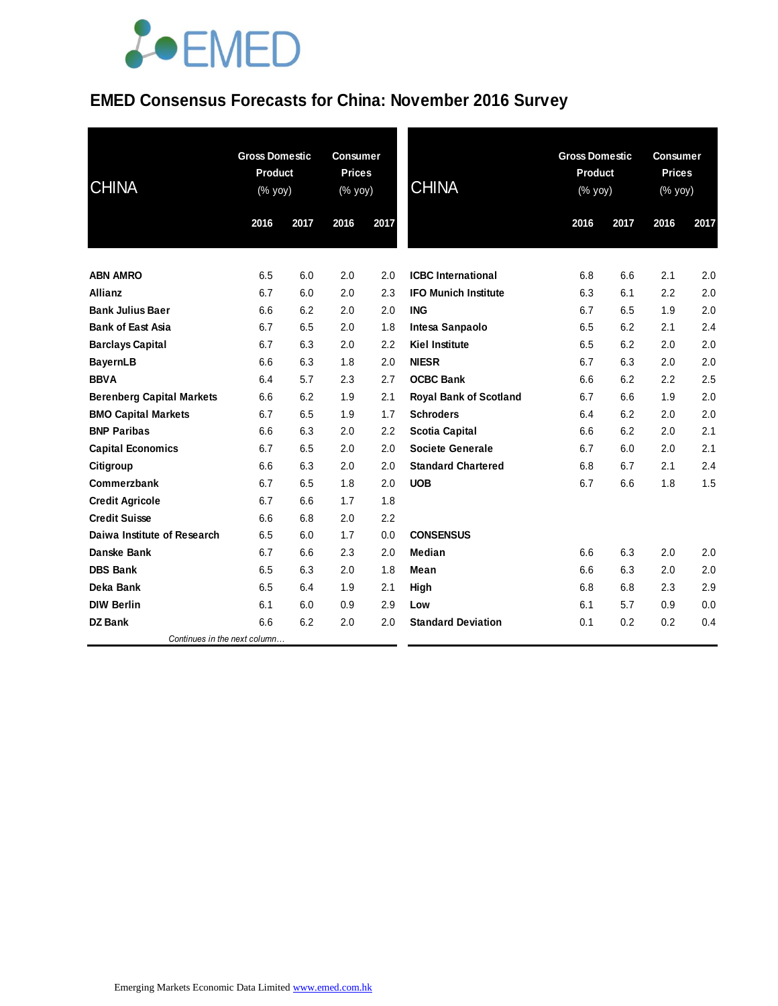### **EMED Consensus Forecasts for China: November 2016 Survey**

| <b>CHINA</b>                     | <b>Gross Domestic</b><br><b>Product</b><br>(% yoy) |      | <b>Consumer</b><br><b>Prices</b><br>(% yoy) |      | <b>CHINA</b>                  | <b>Gross Domestic</b><br><b>Product</b><br>(% yoy) |      | <b>Consumer</b><br><b>Prices</b><br>(% yoy) |      |
|----------------------------------|----------------------------------------------------|------|---------------------------------------------|------|-------------------------------|----------------------------------------------------|------|---------------------------------------------|------|
|                                  | 2016                                               | 2017 | 2016                                        | 2017 |                               | 2016                                               | 2017 | 2016                                        | 2017 |
| <b>ABN AMRO</b>                  | 6.5                                                | 6.0  | 2.0                                         | 2.0  | <b>ICBC</b> International     | 6.8                                                | 6.6  | 2.1                                         | 2.0  |
| <b>Allianz</b>                   | 6.7                                                | 6.0  | 2.0                                         | 2.3  | <b>IFO Munich Institute</b>   | 6.3                                                | 6.1  | 2.2                                         | 2.0  |
| <b>Bank Julius Baer</b>          | 6.6                                                | 6.2  | 2.0                                         | 2.0  | <b>ING</b>                    | 6.7                                                | 6.5  | 1.9                                         | 2.0  |
| <b>Bank of East Asia</b>         | 6.7                                                | 6.5  | 2.0                                         | 1.8  | Intesa Sanpaolo               | 6.5                                                | 6.2  | 2.1                                         | 2.4  |
| <b>Barclays Capital</b>          | 6.7                                                | 6.3  | 2.0                                         | 2.2  | <b>Kiel Institute</b>         | 6.5                                                | 6.2  | 2.0                                         | 2.0  |
| <b>BayernLB</b>                  | 6.6                                                | 6.3  | 1.8                                         | 2.0  | <b>NIESR</b>                  | 6.7                                                | 6.3  | 2.0                                         | 2.0  |
| <b>BBVA</b>                      | 6.4                                                | 5.7  | 2.3                                         | 2.7  | <b>OCBC Bank</b>              | 6.6                                                | 6.2  | 2.2                                         | 2.5  |
| <b>Berenberg Capital Markets</b> | 6.6                                                | 6.2  | 1.9                                         | 2.1  | <b>Royal Bank of Scotland</b> | 6.7                                                | 6.6  | 1.9                                         | 2.0  |
| <b>BMO Capital Markets</b>       | 6.7                                                | 6.5  | 1.9                                         | 1.7  | <b>Schroders</b>              | 6.4                                                | 6.2  | 2.0                                         | 2.0  |
| <b>BNP Paribas</b>               | 6.6                                                | 6.3  | 2.0                                         | 2.2  | <b>Scotia Capital</b>         | 6.6                                                | 6.2  | 2.0                                         | 2.1  |
| <b>Capital Economics</b>         | 6.7                                                | 6.5  | 2.0                                         | 2.0  | <b>Societe Generale</b>       | 6.7                                                | 6.0  | 2.0                                         | 2.1  |
| Citigroup                        | 6.6                                                | 6.3  | 2.0                                         | 2.0  | <b>Standard Chartered</b>     | 6.8                                                | 6.7  | 2.1                                         | 2.4  |
| Commerzbank                      | 6.7                                                | 6.5  | 1.8                                         | 2.0  | <b>UOB</b>                    | 6.7                                                | 6.6  | 1.8                                         | 1.5  |
| <b>Credit Agricole</b>           | 6.7                                                | 6.6  | 1.7                                         | 1.8  |                               |                                                    |      |                                             |      |
| <b>Credit Suisse</b>             | 6.6                                                | 6.8  | 2.0                                         | 2.2  |                               |                                                    |      |                                             |      |
| Daiwa Institute of Research      | 6.5                                                | 6.0  | 1.7                                         | 0.0  | <b>CONSENSUS</b>              |                                                    |      |                                             |      |
| Danske Bank                      | 6.7                                                | 6.6  | 2.3                                         | 2.0  | Median                        | 6.6                                                | 6.3  | 2.0                                         | 2.0  |
| <b>DBS Bank</b>                  | 6.5                                                | 6.3  | 2.0                                         | 1.8  | Mean                          | 6.6                                                | 6.3  | 2.0                                         | 2.0  |
| Deka Bank                        | 6.5                                                | 6.4  | 1.9                                         | 2.1  | High                          | 6.8                                                | 6.8  | 2.3                                         | 2.9  |
| <b>DIW Berlin</b>                | 6.1                                                | 6.0  | 0.9                                         | 2.9  | Low                           | 6.1                                                | 5.7  | 0.9                                         | 0.0  |
| <b>DZ Bank</b>                   | 6.6                                                | 6.2  | 2.0                                         | 2.0  | <b>Standard Deviation</b>     | 0.1                                                | 0.2  | 0.2                                         | 0.4  |
| Continues in the next column     |                                                    |      |                                             |      |                               |                                                    |      |                                             |      |